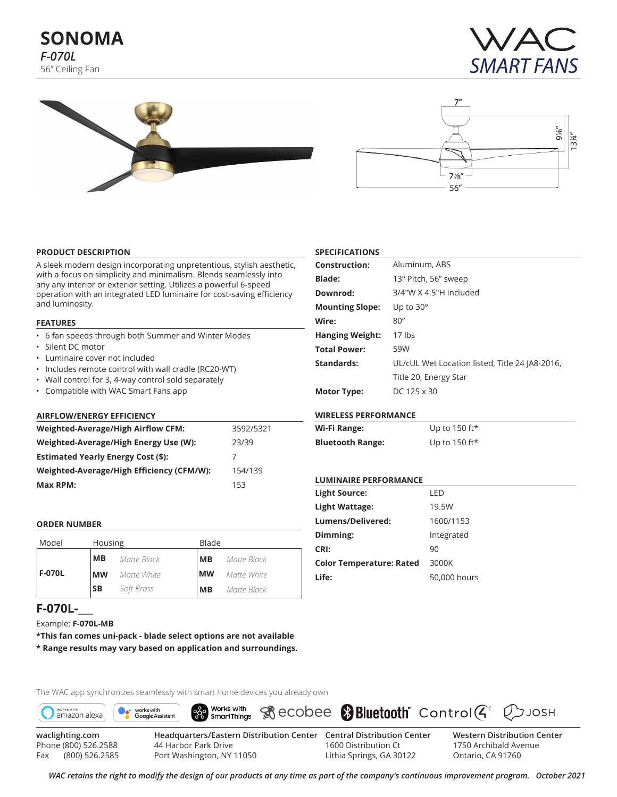# **SONOMA** *F-070L* 56" Ceiling Fan







#### **PRODUCT DESCRIPTION**

A sleek modern design incorporating unpretentious, stylish aesthetic, with a focus on simplicity and minimalism. Blends seamlessly into any any interior or exterior setting. Utilizes a powerful 6-speed operation with an integrated LED luminaire for cost-saving efficiency and luminosity.

#### **FEATURES**

- 6 fan speeds through both Summer and Winter Modes
- Silent DC motor
- Luminaire cover not included
- Includes remote control with wall cradle (RC20-WT)
- Wall control for 3, 4-way control sold separately

Model Housing **Blade** 

*Matte Black Matte White*

• Compatible with WAC Smart Fans app

#### **AIRFLOW/ENERGY EFFICIENCY**

**MB MW**

| <b>Weighted-Average/High Airflow CFM:</b> | 3592/5321 |
|-------------------------------------------|-----------|
| Weighted-Average/High Energy Use (W):     | 23/39     |
| <b>Estimated Yearly Energy Cost (\$):</b> |           |
| Weighted-Average/High Efficiency (CFM/W): | 154/139   |
| Max RPM:                                  | 153       |

# **SPECIFICATIONS**

| <b>Construction:</b>   | Aluminum, ABS                                  |
|------------------------|------------------------------------------------|
| <b>Blade:</b>          | 13° Pitch, 56" sweep                           |
| Downrod:               | 3/4"W X 4.5"H included                         |
| <b>Mounting Slope:</b> | Up to $30^\circ$                               |
| Wire:                  | 80''                                           |
| <b>Hanging Weight:</b> | $17$ lbs                                       |
| <b>Total Power:</b>    | 59W                                            |
| Standards:             | UL/cUL Wet Location listed, Title 24 JA8-2016, |
|                        | Title 20, Energy Star                          |
| <b>Motor Type:</b>     | DC 125 x 30                                    |

## **WIRELESS PERFORMANCE**

| Wi-Fi Range:            | Up to 150 ft $\star$ |
|-------------------------|----------------------|
| <b>Bluetooth Range:</b> | Up to 150 ft*        |

#### **LUMINAIRE PERFORMANCE**

| <b>Light Source:</b>            | I FD         |
|---------------------------------|--------------|
| Light Wattage:                  | 19.5W        |
| Lumens/Delivered:               | 1600/1153    |
| Dimming:                        | Integrated   |
| CRI:                            | 90           |
| <b>Color Temperature: Rated</b> | 3000K        |
| Life:                           | 50,000 hours |

# **F-070L-\_\_\_**

**F-070L**

**ORDER NUMBER** 

Example: **F-070L-MB**

Fax (800) 526.2585

**\*This fan comes uni-pack - blade select options are not available \* Range results may vary based on application and surroundings.**

**SB** *Soft Brass* **MB** *Matte Black*

The WAC app synchronizes seamlessly with smart home devices you already own



Port Washington, NY 11050

**MB MW**

*Matte Black Matte White*

> 1600 Distribution Ct Lithia Springs, GA 30122

**Western Distribution Center**  1750 Archibald Avenue Ontario, CA 91760

 $D$ JOSH

*WAC retains the right to modify the design of our products at any time as part of the company's continuous improvement program. October 2021*